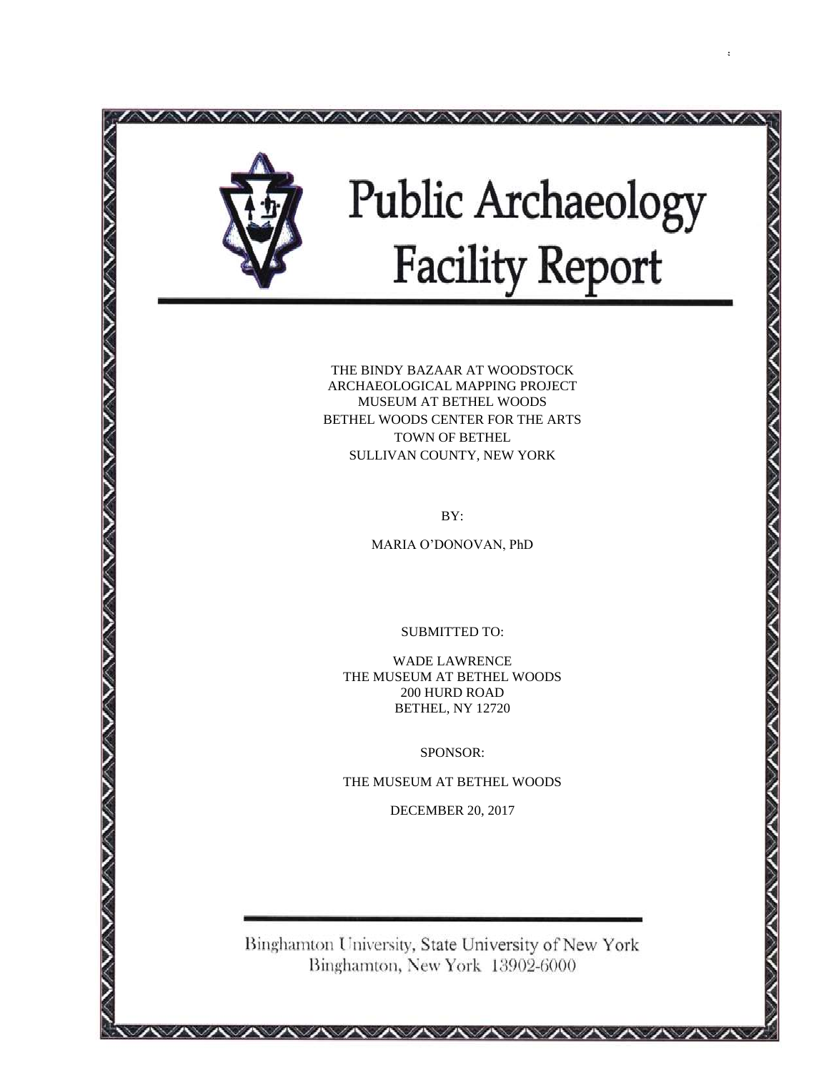

i

THE BINDY BAZAAR AT WOODSTOCK ARCHAEOLOGICAL MAPPING PROJECT MUSEUM AT BETHEL WOODS BETHEL WOODS CENTER FOR THE ARTS TOWN OF BETHEL SULLIVAN COUNTY, NEW YORK

BY:

MARIA O'DONOVAN, PhD

SUBMITTED TO:

WADE LAWRENCE THE MUSEUM AT BETHEL WOODS 200 HURD ROAD BETHEL, NY 12720

SPONSOR:

THE MUSEUM AT BETHEL WOODS

DECEMBER 20, 2017

Binghamton University, State University of New York Binghamton, New York 13902-6000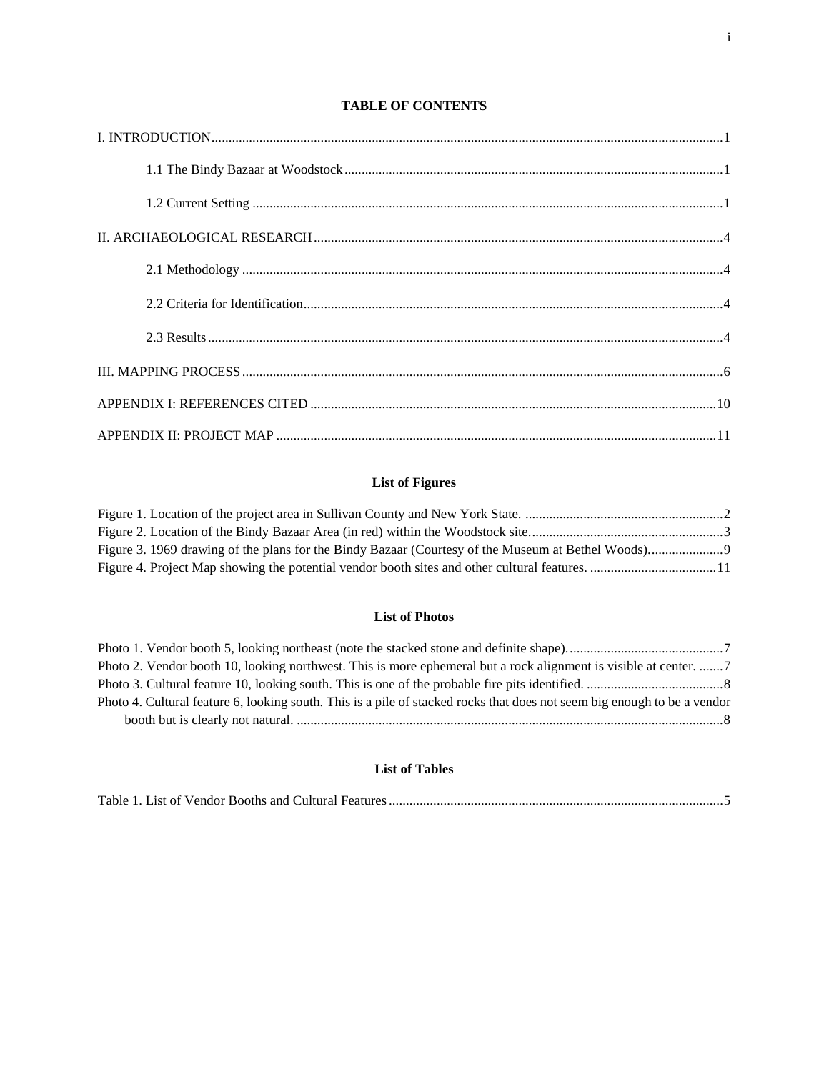# **TABLE OF CONTENTS**

# **List of Figures**

## **List of Photos**

| Photo 4. Cultural feature 6, looking south. This is a pile of stacked rocks that does not seem big enough to be a vendor |  |
|--------------------------------------------------------------------------------------------------------------------------|--|
|                                                                                                                          |  |

# **List of Tables**

|--|--|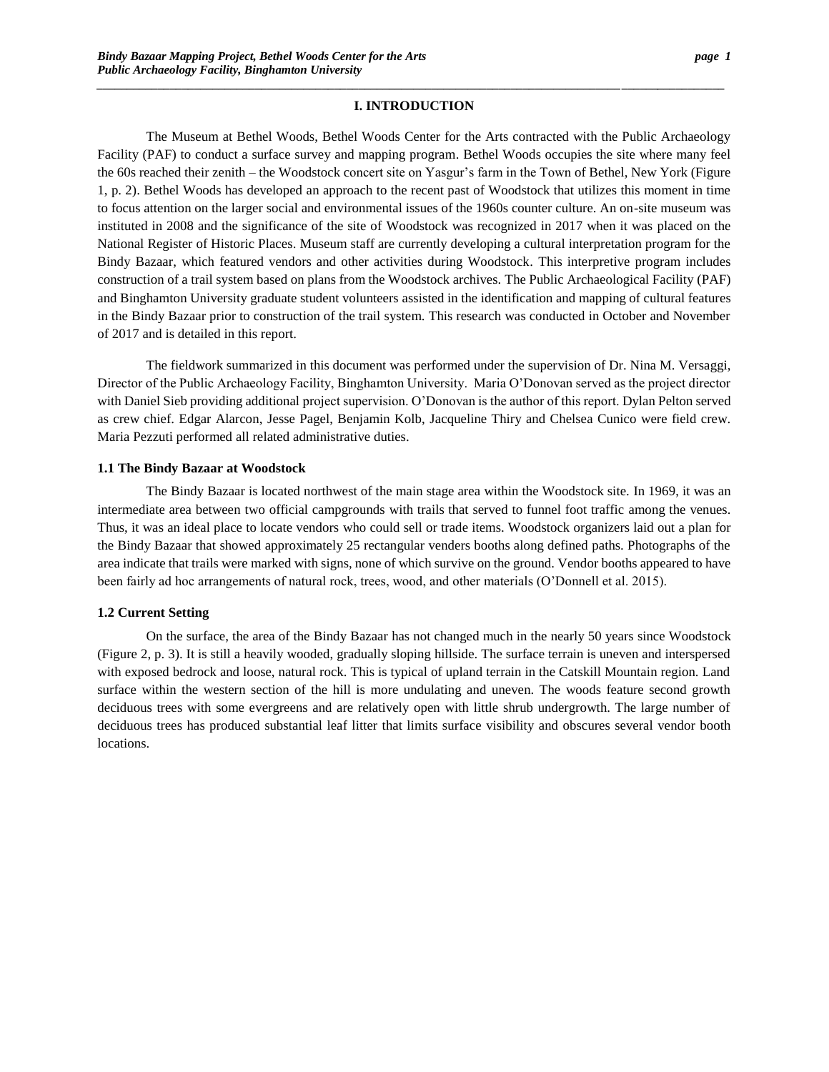# *\_\_\_\_\_\_\_\_\_\_\_\_\_\_\_\_\_\_\_\_\_\_\_\_\_\_\_\_\_\_\_\_\_\_\_\_\_\_\_\_\_\_\_\_\_\_\_\_\_\_\_\_\_\_\_\_\_\_\_\_\_\_\_\_\_\_\_\_\_\_\_\_\_\_\_\_\_\_\_\_\_\_\_\_\_\_***\_\_\_\_\_\_***\_\_\_\_\_\_\_\_\_\_\_* **I. INTRODUCTION**

The Museum at Bethel Woods, Bethel Woods Center for the Arts contracted with the Public Archaeology Facility (PAF) to conduct a surface survey and mapping program. Bethel Woods occupies the site where many feel the 60s reached their zenith – the Woodstock concert site on Yasgur's farm in the Town of Bethel, New York (Figure 1, p. 2). Bethel Woods has developed an approach to the recent past of Woodstock that utilizes this moment in time to focus attention on the larger social and environmental issues of the 1960s counter culture. An on-site museum was instituted in 2008 and the significance of the site of Woodstock was recognized in 2017 when it was placed on the National Register of Historic Places. Museum staff are currently developing a cultural interpretation program for the Bindy Bazaar, which featured vendors and other activities during Woodstock. This interpretive program includes construction of a trail system based on plans from the Woodstock archives. The Public Archaeological Facility (PAF) and Binghamton University graduate student volunteers assisted in the identification and mapping of cultural features in the Bindy Bazaar prior to construction of the trail system. This research was conducted in October and November of 2017 and is detailed in this report.

The fieldwork summarized in this document was performed under the supervision of Dr. Nina M. Versaggi, Director of the Public Archaeology Facility, Binghamton University. Maria O'Donovan served as the project director with Daniel Sieb providing additional project supervision. O'Donovan is the author of this report. Dylan Pelton served as crew chief. Edgar Alarcon, Jesse Pagel, Benjamin Kolb, Jacqueline Thiry and Chelsea Cunico were field crew. Maria Pezzuti performed all related administrative duties.

## **1.1 The Bindy Bazaar at Woodstock**

The Bindy Bazaar is located northwest of the main stage area within the Woodstock site. In 1969, it was an intermediate area between two official campgrounds with trails that served to funnel foot traffic among the venues. Thus, it was an ideal place to locate vendors who could sell or trade items. Woodstock organizers laid out a plan for the Bindy Bazaar that showed approximately 25 rectangular venders booths along defined paths. Photographs of the area indicate that trails were marked with signs, none of which survive on the ground. Vendor booths appeared to have been fairly ad hoc arrangements of natural rock, trees, wood, and other materials (O'Donnell et al. 2015).

#### **1.2 Current Setting**

On the surface, the area of the Bindy Bazaar has not changed much in the nearly 50 years since Woodstock (Figure 2, p. 3). It is still a heavily wooded, gradually sloping hillside. The surface terrain is uneven and interspersed with exposed bedrock and loose, natural rock. This is typical of upland terrain in the Catskill Mountain region. Land surface within the western section of the hill is more undulating and uneven. The woods feature second growth deciduous trees with some evergreens and are relatively open with little shrub undergrowth. The large number of deciduous trees has produced substantial leaf litter that limits surface visibility and obscures several vendor booth locations.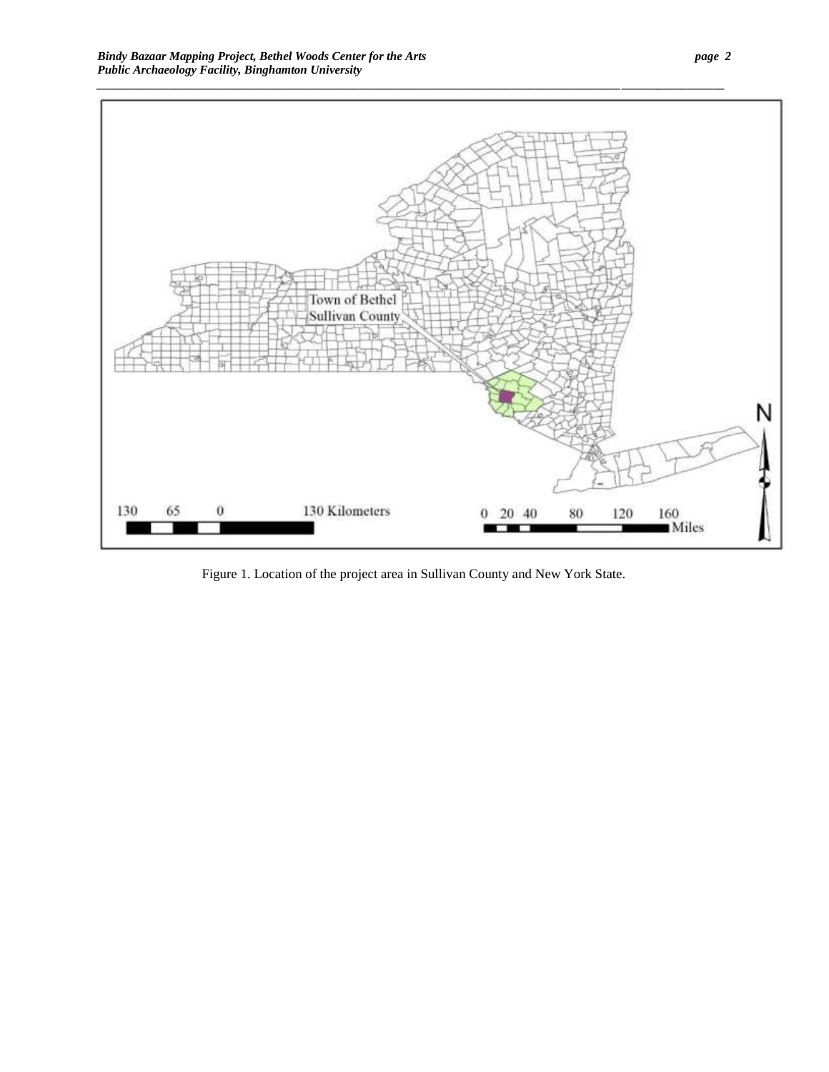

Figure 1. Location of the project area in Sullivan County and New York State.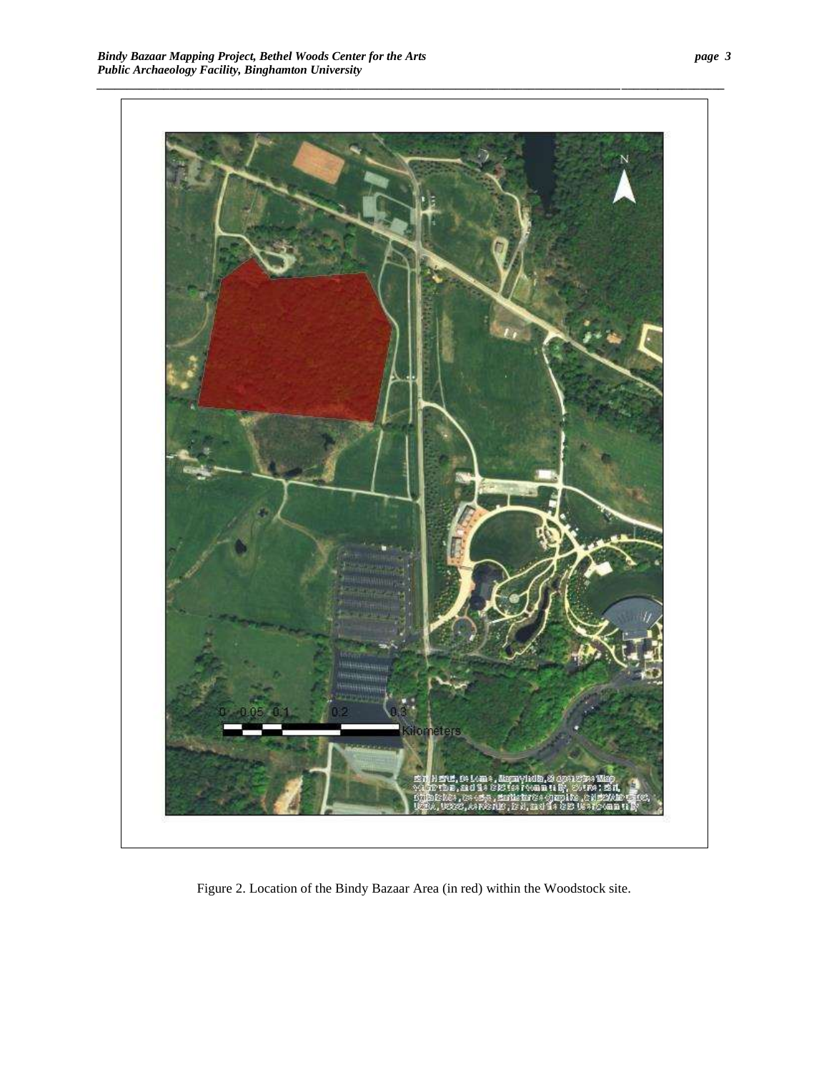

Figure 2. Location of the Bindy Bazaar Area (in red) within the Woodstock site.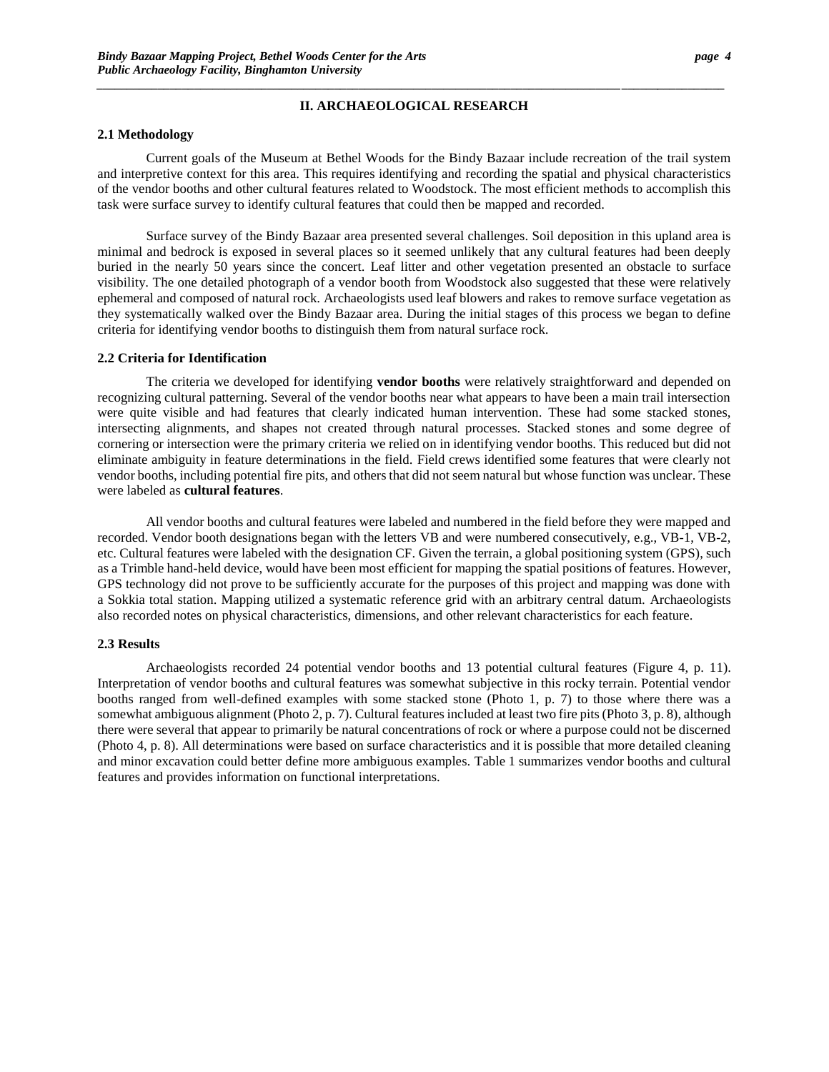# *\_\_\_\_\_\_\_\_\_\_\_\_\_\_\_\_\_\_\_\_\_\_\_\_\_\_\_\_\_\_\_\_\_\_\_\_\_\_\_\_\_\_\_\_\_\_\_\_\_\_\_\_\_\_\_\_\_\_\_\_\_\_\_\_\_\_\_\_\_\_\_\_\_\_\_\_\_\_\_\_\_\_\_\_\_\_***\_\_\_\_\_\_***\_\_\_\_\_\_\_\_\_\_\_* **II. ARCHAEOLOGICAL RESEARCH**

### **2.1 Methodology**

Current goals of the Museum at Bethel Woods for the Bindy Bazaar include recreation of the trail system and interpretive context for this area. This requires identifying and recording the spatial and physical characteristics of the vendor booths and other cultural features related to Woodstock. The most efficient methods to accomplish this task were surface survey to identify cultural features that could then be mapped and recorded.

Surface survey of the Bindy Bazaar area presented several challenges. Soil deposition in this upland area is minimal and bedrock is exposed in several places so it seemed unlikely that any cultural features had been deeply buried in the nearly 50 years since the concert. Leaf litter and other vegetation presented an obstacle to surface visibility. The one detailed photograph of a vendor booth from Woodstock also suggested that these were relatively ephemeral and composed of natural rock. Archaeologists used leaf blowers and rakes to remove surface vegetation as they systematically walked over the Bindy Bazaar area. During the initial stages of this process we began to define criteria for identifying vendor booths to distinguish them from natural surface rock.

#### **2.2 Criteria for Identification**

The criteria we developed for identifying **vendor booths** were relatively straightforward and depended on recognizing cultural patterning. Several of the vendor booths near what appears to have been a main trail intersection were quite visible and had features that clearly indicated human intervention. These had some stacked stones, intersecting alignments, and shapes not created through natural processes. Stacked stones and some degree of cornering or intersection were the primary criteria we relied on in identifying vendor booths. This reduced but did not eliminate ambiguity in feature determinations in the field. Field crews identified some features that were clearly not vendor booths, including potential fire pits, and others that did not seem natural but whose function was unclear. These were labeled as **cultural features**.

All vendor booths and cultural features were labeled and numbered in the field before they were mapped and recorded. Vendor booth designations began with the letters VB and were numbered consecutively, e.g., VB-1, VB-2, etc. Cultural features were labeled with the designation CF. Given the terrain, a global positioning system (GPS), such as a Trimble hand-held device, would have been most efficient for mapping the spatial positions of features. However, GPS technology did not prove to be sufficiently accurate for the purposes of this project and mapping was done with a Sokkia total station. Mapping utilized a systematic reference grid with an arbitrary central datum. Archaeologists also recorded notes on physical characteristics, dimensions, and other relevant characteristics for each feature.

#### **2.3 Results**

Archaeologists recorded 24 potential vendor booths and 13 potential cultural features (Figure 4, p. 11). Interpretation of vendor booths and cultural features was somewhat subjective in this rocky terrain. Potential vendor booths ranged from well-defined examples with some stacked stone (Photo 1, p. 7) to those where there was a somewhat ambiguous alignment (Photo 2, p. 7). Cultural features included at least two fire pits (Photo 3, p. 8), although there were several that appear to primarily be natural concentrations of rock or where a purpose could not be discerned (Photo 4, p. 8). All determinations were based on surface characteristics and it is possible that more detailed cleaning and minor excavation could better define more ambiguous examples. Table 1 summarizes vendor booths and cultural features and provides information on functional interpretations.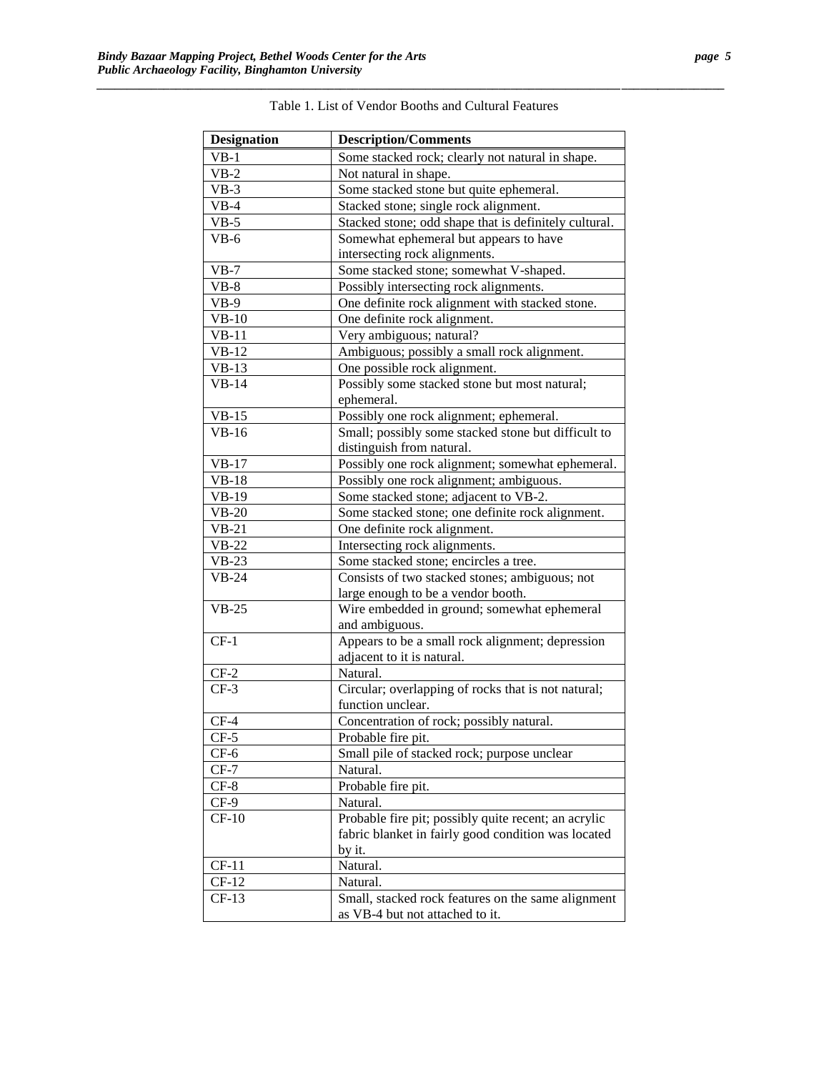| <b>Designation</b> | <b>Description/Comments</b>                           |
|--------------------|-------------------------------------------------------|
| $VB-1$             | Some stacked rock; clearly not natural in shape.      |
| $VB-2$             | Not natural in shape.                                 |
| $VB-3$             | Some stacked stone but quite ephemeral.               |
| $VB-4$             | Stacked stone; single rock alignment.                 |
| $VB-5$             | Stacked stone; odd shape that is definitely cultural. |
| $VB-6$             | Somewhat ephemeral but appears to have                |
|                    | intersecting rock alignments.                         |
| $VB-7$             | Some stacked stone; somewhat V-shaped.                |
| $VB-8$             | Possibly intersecting rock alignments.                |
| $VB-9$             | One definite rock alignment with stacked stone.       |
| $VB-10$            | One definite rock alignment.                          |
| $VB-11$            | Very ambiguous; natural?                              |
| $VB-12$            | Ambiguous; possibly a small rock alignment.           |
| $VB-13$            | One possible rock alignment.                          |
| $VB-14$            | Possibly some stacked stone but most natural;         |
|                    | ephemeral.                                            |
| $VB-15$            | Possibly one rock alignment; ephemeral.               |
| $VB-16$            | Small; possibly some stacked stone but difficult to   |
|                    | distinguish from natural.                             |
| $VB-17$            | Possibly one rock alignment; somewhat ephemeral.      |
| $VB-18$            | Possibly one rock alignment; ambiguous.               |
| $VB-19$            | Some stacked stone; adjacent to VB-2.                 |
| $VB-20$            | Some stacked stone; one definite rock alignment.      |
| $VB-21$            | One definite rock alignment.                          |
| $VB-22$            | Intersecting rock alignments.                         |
| $VB-23$            | Some stacked stone; encircles a tree.                 |
| $VB-24$            | Consists of two stacked stones; ambiguous; not        |
|                    | large enough to be a vendor booth.                    |
| $VB-25$            | Wire embedded in ground; somewhat ephemeral           |
|                    | and ambiguous.                                        |
| $CF-1$             | Appears to be a small rock alignment; depression      |
|                    | adjacent to it is natural.                            |
| $CF-2$             | Natural.                                              |
| $CF-3$             | Circular; overlapping of rocks that is not natural;   |
|                    | function unclear.                                     |
| $CF-4$             | Concentration of rock; possibly natural.              |
| $CF-5$             | Probable fire pit.                                    |
| $CF-6$             | Small pile of stacked rock; purpose unclear           |
| $CF-7$             | Natural.                                              |
| $CF-8$             | Probable fire pit.                                    |
| $CF-9$             | Natural.                                              |
| $CF-10$            | Probable fire pit; possibly quite recent; an acrylic  |
|                    | fabric blanket in fairly good condition was located   |
|                    | by it.                                                |
| $CF-11$            | Natural.                                              |
| $CF-12$            | Natural.                                              |
| $CF-13$            | Small, stacked rock features on the same alignment    |
|                    | as VB-4 but not attached to it.                       |

<span id="page-6-0"></span>

| the control of the control of the control of the control of the control of the control of the control of the control of the control of the control of the control of the control of the control of the control of the control<br>the control of the control of the control of the control of the control of the control of the control of the control of the control of the control of the control of the control of the control of the control of the control |
|----------------------------------------------------------------------------------------------------------------------------------------------------------------------------------------------------------------------------------------------------------------------------------------------------------------------------------------------------------------------------------------------------------------------------------------------------------------|
|                                                                                                                                                                                                                                                                                                                                                                                                                                                                |
| Table.<br>√endor<br>- and .<br>- 1 0 1<br>ាមា<br>$\Omega$<br>∖∩∩the<br>нгя                                                                                                                                                                                                                                                                                                                                                                                     |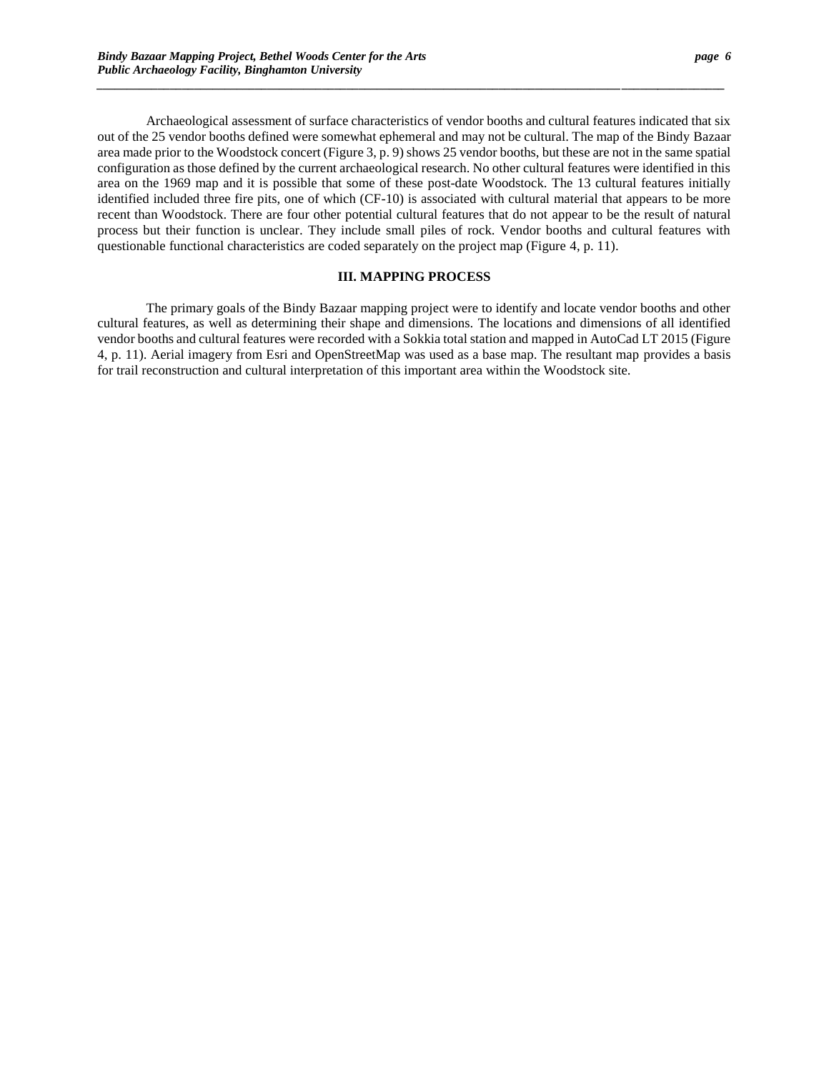Archaeological assessment of surface characteristics of vendor booths and cultural features indicated that six out of the 25 vendor booths defined were somewhat ephemeral and may not be cultural. The map of the Bindy Bazaar area made prior to the Woodstock concert (Figure 3, p. 9) shows 25 vendor booths, but these are not in the same spatial configuration as those defined by the current archaeological research. No other cultural features were identified in this area on the 1969 map and it is possible that some of these post-date Woodstock. The 13 cultural features initially identified included three fire pits, one of which (CF-10) is associated with cultural material that appears to be more recent than Woodstock. There are four other potential cultural features that do not appear to be the result of natural process but their function is unclear. They include small piles of rock. Vendor booths and cultural features with questionable functional characteristics are coded separately on the project map (Figure 4, p. 11).

*\_\_\_\_\_\_\_\_\_\_\_\_\_\_\_\_\_\_\_\_\_\_\_\_\_\_\_\_\_\_\_\_\_\_\_\_\_\_\_\_\_\_\_\_\_\_\_\_\_\_\_\_\_\_\_\_\_\_\_\_\_\_\_\_\_\_\_\_\_\_\_\_\_\_\_\_\_\_\_\_\_\_\_\_\_\_***\_\_\_\_\_\_***\_\_\_\_\_\_\_\_\_\_\_*

### **III. MAPPING PROCESS**

The primary goals of the Bindy Bazaar mapping project were to identify and locate vendor booths and other cultural features, as well as determining their shape and dimensions. The locations and dimensions of all identified vendor booths and cultural features were recorded with a Sokkia total station and mapped in AutoCad LT 2015 (Figure 4, p. 11). Aerial imagery from Esri and OpenStreetMap was used as a base map. The resultant map provides a basis for trail reconstruction and cultural interpretation of this important area within the Woodstock site.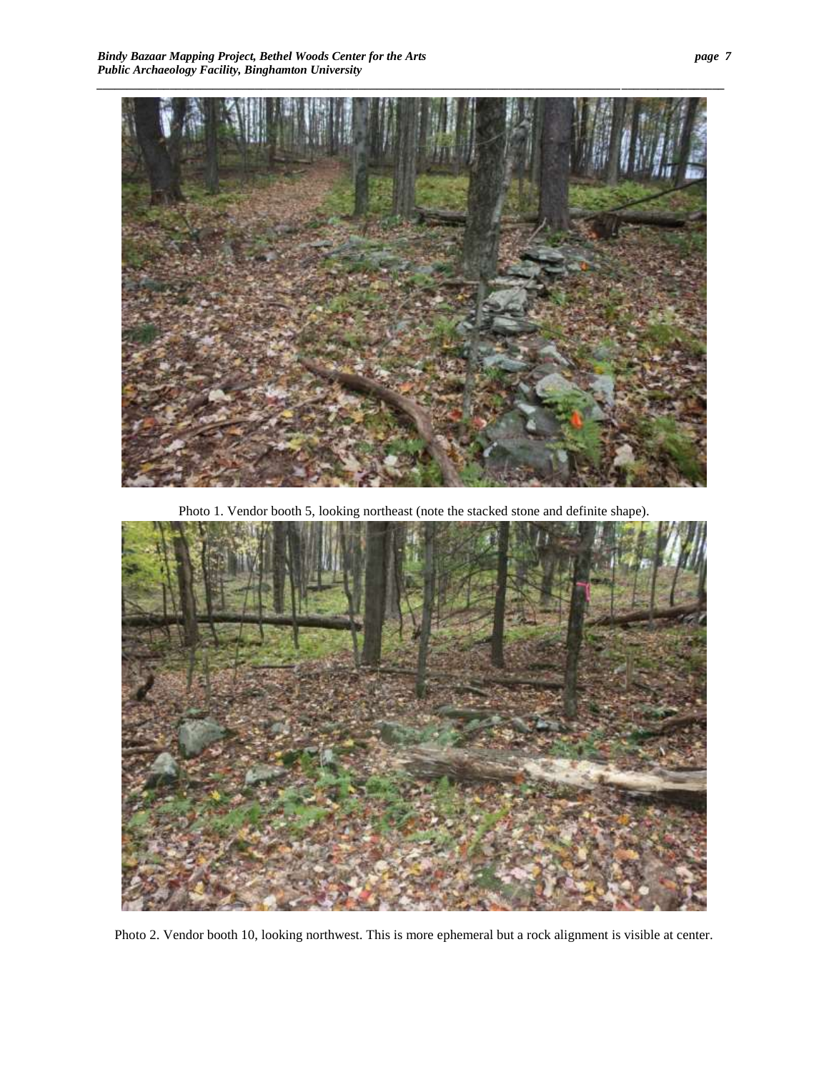

Photo 1. Vendor booth 5, looking northeast (note the stacked stone and definite shape).

<span id="page-8-1"></span><span id="page-8-0"></span>

Photo 2. Vendor booth 10, looking northwest. This is more ephemeral but a rock alignment is visible at center.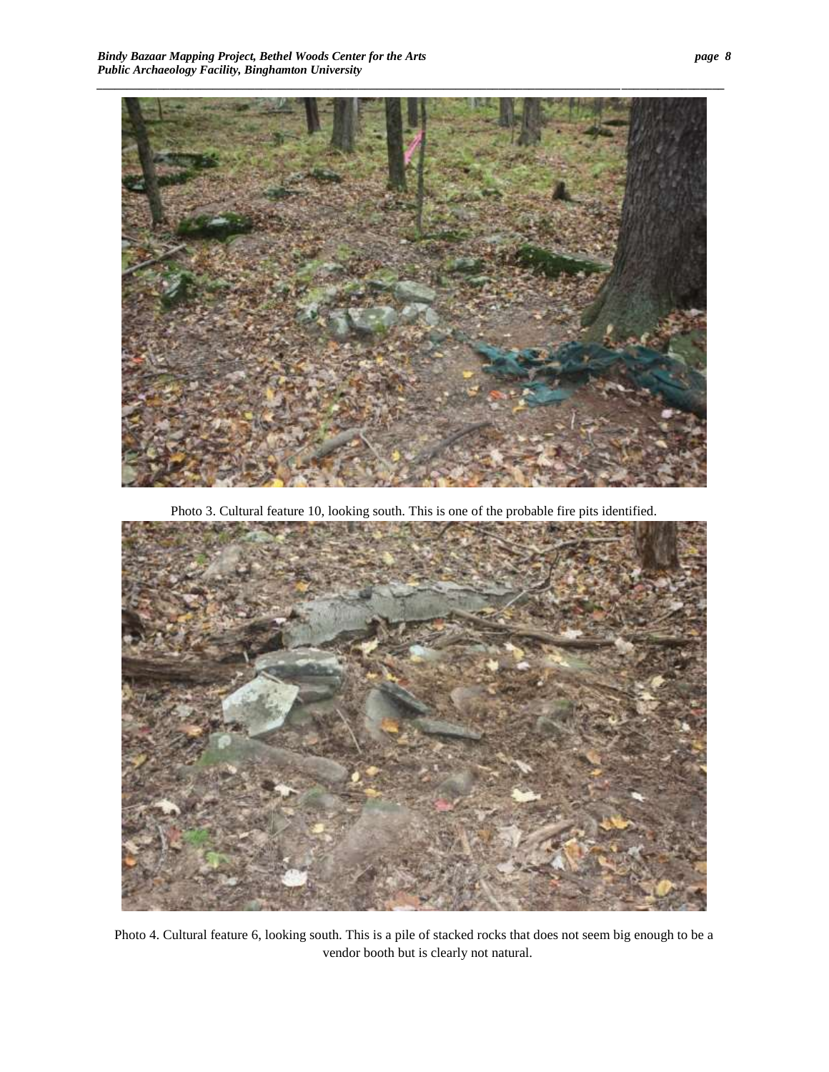

Photo 3. Cultural feature 10, looking south. This is one of the probable fire pits identified.

<span id="page-9-1"></span><span id="page-9-0"></span>

Photo 4. Cultural feature 6, looking south. This is a pile of stacked rocks that does not seem big enough to be a vendor booth but is clearly not natural.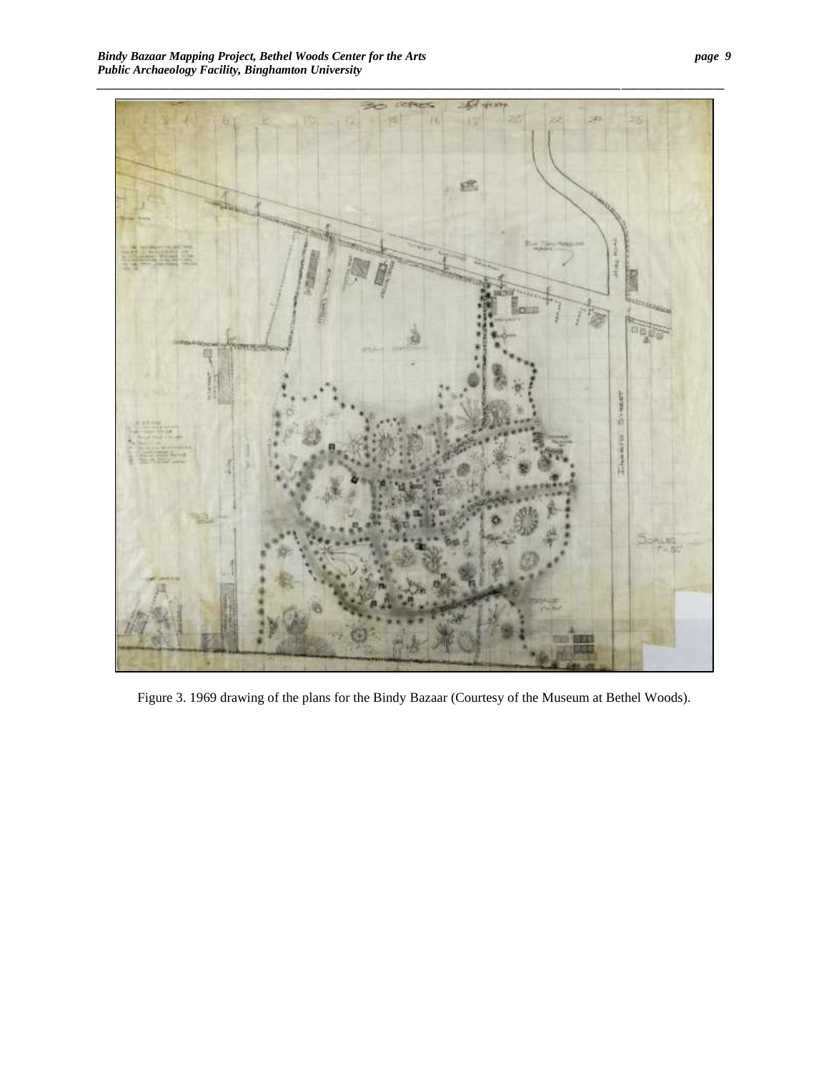

Figure 3. 1969 drawing of the plans for the Bindy Bazaar (Courtesy of the Museum at Bethel Woods).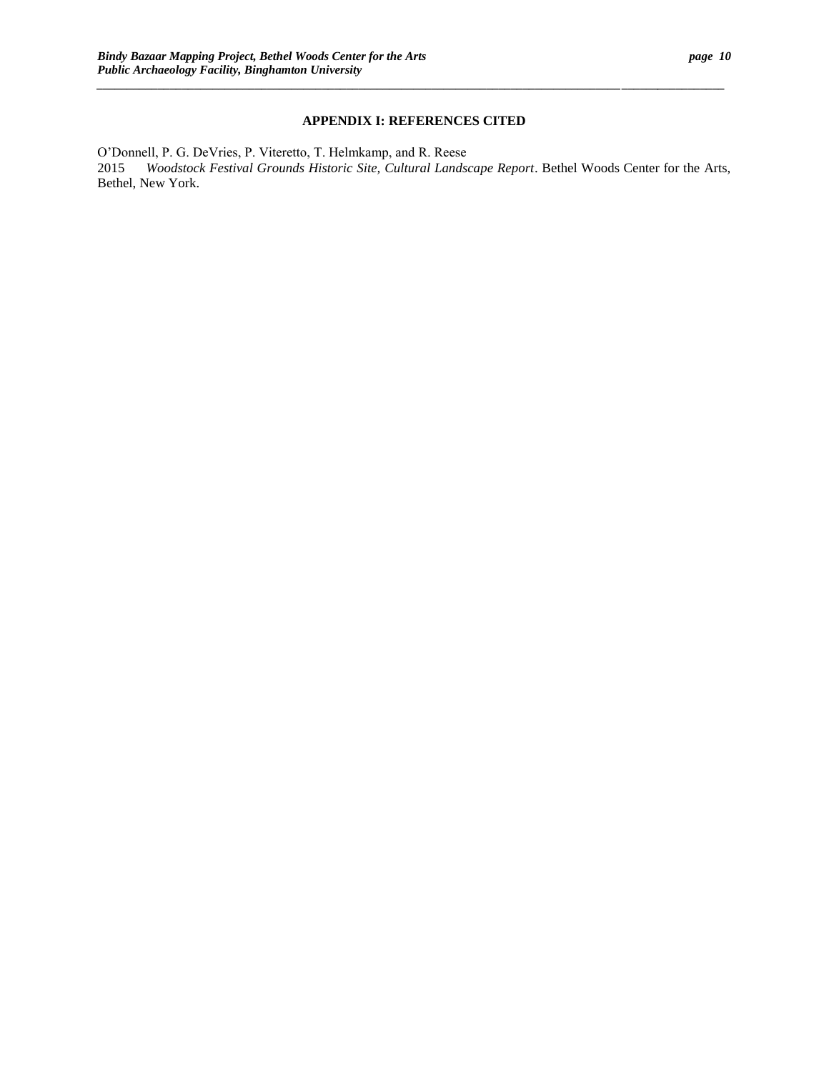## **APPENDIX I: REFERENCES CITED**

*\_\_\_\_\_\_\_\_\_\_\_\_\_\_\_\_\_\_\_\_\_\_\_\_\_\_\_\_\_\_\_\_\_\_\_\_\_\_\_\_\_\_\_\_\_\_\_\_\_\_\_\_\_\_\_\_\_\_\_\_\_\_\_\_\_\_\_\_\_\_\_\_\_\_\_\_\_\_\_\_\_\_\_\_\_\_***\_\_\_\_\_\_***\_\_\_\_\_\_\_\_\_\_\_*

O'Donnell, P. G. DeVries, P. Viteretto, T. Helmkamp, and R. Reese 2015 *Woodstock Festival Grounds Historic Site, Cultural Landscape Report*. Bethel Woods Center for the Arts, Bethel, New York.